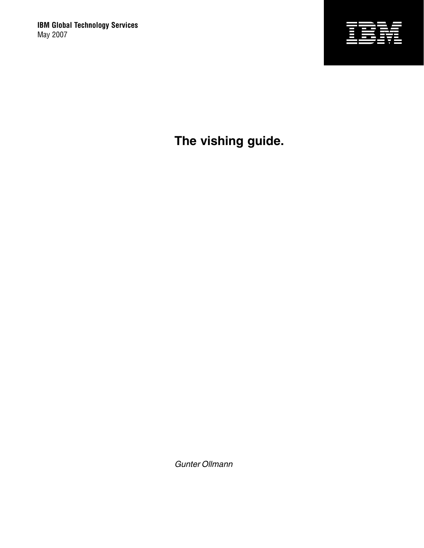

**The vishing guide.**

*Gunter Ollmann*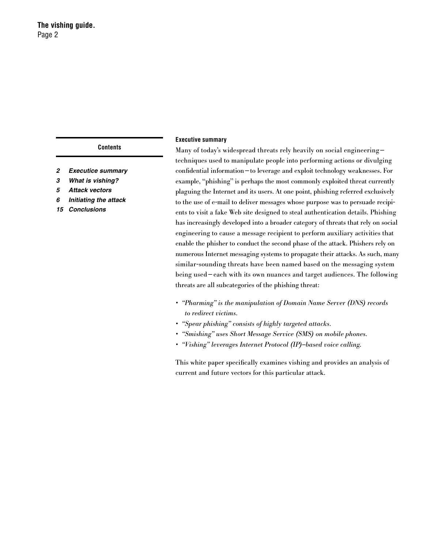### **Contents**

## *2 Executice summary*

- *3 What is vishing?*
- *5 Attack vectors*
- *6 Initiating the attack*
- *15 Conclusions*

### **Executive summary**

Many of today's widespread threats rely heavily on social engineering techniques used to manipulate people into performing actions or divulging confidential information—to leverage and exploit technology weaknesses. For example, "phishing" is perhaps the most commonly exploited threat currently plaguing the Internet and its users. At one point, phishing referred exclusively to the use of e-mail to deliver messages whose purpose was to persuade recipients to visit a fake Web site designed to steal authentication details. Phishing has increasingly developed into a broader category of threats that rely on social engineering to cause a message recipient to perform auxiliary activities that enable the phisher to conduct the second phase of the attack. Phishers rely on numerous Internet messaging systems to propagate their attacks. As such, many similar-sounding threats have been named based on the messaging system being used—each with its own nuances and target audiences. The following threats are all subcategories of the phishing threat:

- "Pharming" is the manipulation of Domain Name Server (DNS) records *to redirect victims.*
- "Spear phishing" consists of highly targeted attacks.
- *• "Smishing" uses Short Message Service (SMS) on mobile phones.*
- *• "Vishing" leverages Internet Protocol (IP)–based voice calling.*

This white paper specifically examines vishing and provides an analysis of current and future vectors for this particular attack.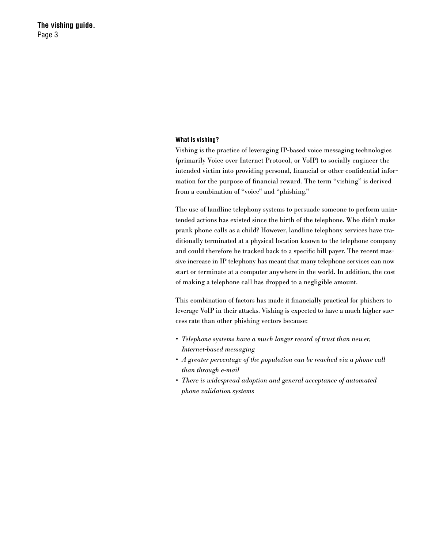### **What is vishing?**

Vishing is the practice of leveraging IP-based voice messaging technologies (primarily Voice over Internet Protocol, or VoIP) to socially engineer the intended victim into providing personal, financial or other confidential information for the purpose of financial reward. The term "vishing" is derived from a combination of "voice" and "phishing."

The use of landline telephony systems to persuade someone to perform unintended actions has existed since the birth of the telephone. Who didn't make prank phone calls as a child? However, landline telephony services have traditionally terminated at a physical location known to the telephone company and could therefore be tracked back to a specific bill payer. The recent massive increase in IP telephony has meant that many telephone services can now start or terminate at a computer anywhere in the world. In addition, the cost of making a telephone call has dropped to a negligible amount.

This combination of factors has made it financially practical for phishers to leverage VoIP in their attacks. Vishing is expected to have a much higher success rate than other phishing vectors because:

- Telephone systems have a much longer record of trust than newer, *Internet-based messaging*
- *A* greater percentage of the population can be reached via a phone call *than through e-mail*
- There is widespread adoption and general acceptance of automated *phone validation systems*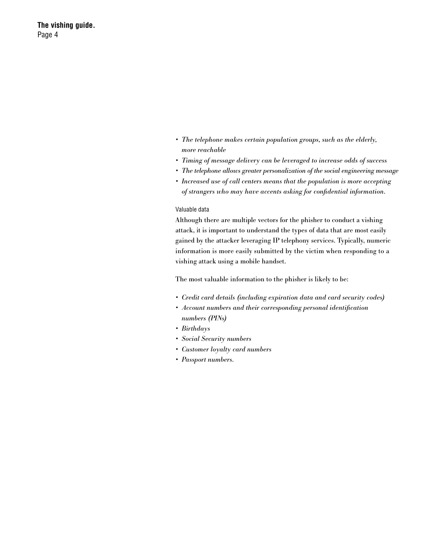- The telephone makes certain population groups, such as the elderly, *more reachable*
- *Timing of message delivery can be leveraged to increase odds of success*
- The telephone allows greater personalization of the social engineering message
- Increased use of call centers means that the population is more accepting of strangers who may have accents asking for confidential information.

## Valuable data

Although there are multiple vectors for the phisher to conduct a vishing attack, it is important to understand the types of data that are most easily gained by the attacker leveraging IP telephony services. Typically, numeric information is more easily submitted by the victim when responding to a vishing attack using a mobile handset.

The most valuable information to the phisher is likely to be:

- *Credit card details (including expiration data and card security codes)*
- *Account numbers and their corresponding personal identification numbers (PINs)*
- *• Birthdays*
- *• Social Security numbers*
- *• Customer loyalty card numbers*
- Passport numbers.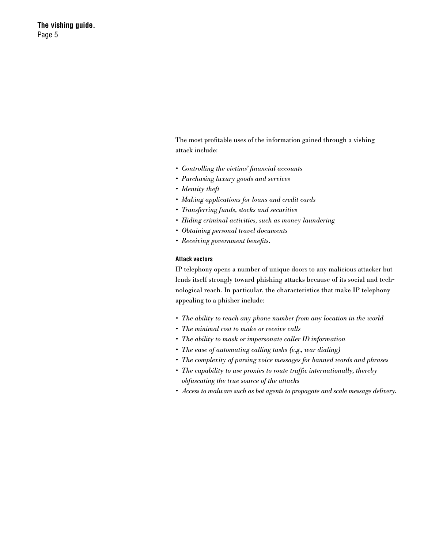> The most profitable uses of the information gained through a vishing attack include:

- *• Controlling the victims' financial accounts*
- *• Purchasing luxury goods and services*
- *• Identity theft*
- *• Making applications for loans and credit cards*
- *• Transferring funds, stocks and securities*
- *• Hiding criminal activities, such as money laundering*
- *• Obtaining personal travel documents*
- *• Receiving government benefits.*

# **Attack vectors**

IP telephony opens a number of unique doors to any malicious attacker but lends itself strongly toward phishing attacks because of its social and technological reach. In particular, the characteristics that make IP telephony appealing to a phisher include:

- The ability to reach any phone number from any location in the world
- The minimal cost to make or receive calls
- The ability to mask or impersonate caller ID information
- The ease of automating calling tasks (e.g., war dialing)
- The complexity of parsing voice messages for banned words and phrases
- The capability to use proxies to route traffic internationally, thereby *obfuscating the true source of the attacks*
- Access to malware such as bot agents to propagate and scale message delivery.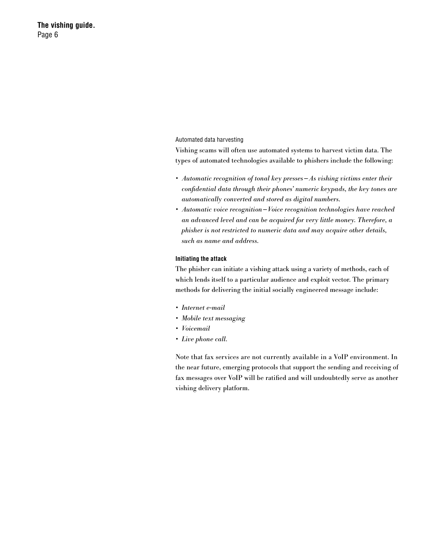### Automated data harvesting

Vishing scams will often use automated systems to harvest victim data. The types of automated technologies available to phishers include the following:

- Automatic recognition of tonal key presses As vishing victims enter their *confidential data through their phones' numeric keypads, the key tones are automatically converted and stored as digital numbers.*
- *Automatic voice recognition-Voice recognition technologies have reached* an advanced level and can be acquired for very little money. Therefore, a *phisher is not restricted to numeric data and may acquire other details, such as name and address.*

## **Initiating the attack**

The phisher can initiate a vishing attack using a variety of methods, each of which lends itself to a particular audience and exploit vector. The primary methods for delivering the initial socially engineered message include:

- *• Internet e-mail*
- Mobile text messaging
- *• Voicemail*
- Live phone call.

Note that fax services are not currently available in a VoIP environment. In the near future, emerging protocols that support the sending and receiving of fax messages over VoIP will be ratified and will undoubtedly serve as another vishing delivery platform.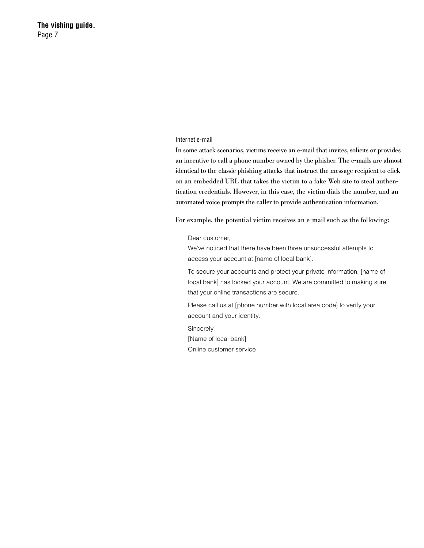#### Internet e-mail

In some attack scenarios, victims receive an e-mail that invites, solicits or provides an incentive to call a phone number owned by the phisher. The e-mails are almost identical to the classic phishing attacks that instruct the message recipient to click on an embedded URL that takes the victim to a fake Web site to steal authentication credentials. However, in this case, the victim dials the number, and an automated voice prompts the caller to provide authentication information.

For example, the potential victim receives an e-mail such as the following:

Dear customer,

We've noticed that there have been three unsuccessful attempts to access your account at [name of local bank].

To secure your accounts and protect your private information, [name of local bank] has locked your account. We are committed to making sure that your online transactions are secure.

Please call us at [phone number with local area code] to verify your account and your identity.

 Sincerely,

[Name of local bank]

Online customer service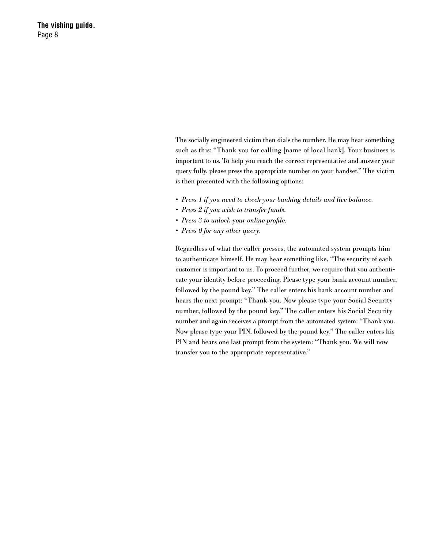> The socially engineered victim then dials the number. He may hear something such as this: "Thank you for calling [name of local bank]. Your business is important to us. To help you reach the correct representative and answer your query fully, please press the appropriate number on your handset." The victim is then presented with the following options:

- *• Press 1 if you need to check your banking details and live balance.*
- *• Press 2 if you wish to transfer funds.*
- *• Press 3 to unlock your online profile.*
- *• Press 0 for any other query.*

Regardless of what the caller presses, the automated system prompts him to authenticate himself. He may hear something like, "The security of each customer is important to us. To proceed further, we require that you authenticate your identity before proceeding. Please type your bank account number, followed by the pound key." The caller enters his bank account number and hears the next prompt: "Thank you. Now please type your Social Security number, followed by the pound key." The caller enters his Social Security number and again receives a prompt from the automated system: "Thank you. Now please type your PIN, followed by the pound key." The caller enters his PIN and hears one last prompt from the system: "Thank you. We will now transfer you to the appropriate representative."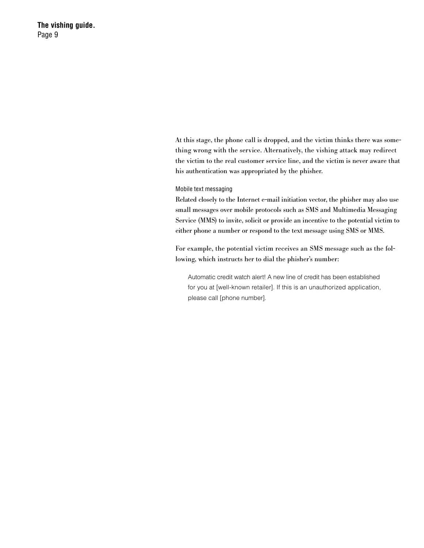> At this stage, the phone call is dropped, and the victim thinks there was something wrong with the service. Alternatively, the vishing attack may redirect the victim to the real customer service line, and the victim is never aware that his authentication was appropriated by the phisher.

#### Mobile text messaging

Related closely to the Internet e-mail initiation vector, the phisher may also use small messages over mobile protocols such as SMS and Multimedia Messaging Service (MMS) to invite, solicit or provide an incentive to the potential victim to either phone a number or respond to the text message using SMS or MMS.

For example, the potential victim receives an SMS message such as the following, which instructs her to dial the phisher's number:

Automatic credit watch alert! A new line of credit has been established for you at [well-known retailer]. If this is an unauthorized application, please call [phone number].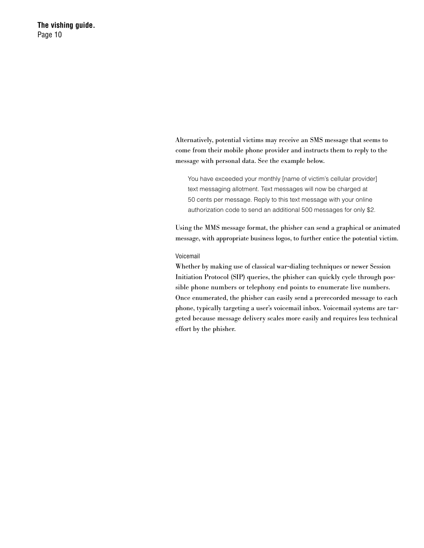> Alternatively, potential victims may receive an SMS message that seems to come from their mobile phone provider and instructs them to reply to the message with personal data. See the example below.

 You have exceeded your monthly [name of victim's cellular provider] text messaging allotment. Text messages will now be charged at 50 cents per message. Reply to this text message with your online authorization code to send an additional 500 messages for only \$2.

Using the MMS message format, the phisher can send a graphical or animated message, with appropriate business logos, to further entice the potential victim.

### Voicemail

Whether by making use of classical war-dialing techniques or newer Session Initiation Protocol (SIP) queries, the phisher can quickly cycle through possible phone numbers or telephony end points to enumerate live numbers. Once enumerated, the phisher can easily send a prerecorded message to each phone, typically targeting a user's voicemail inbox. Voicemail systems are targeted because message delivery scales more easily and requires less technical effort by the phisher.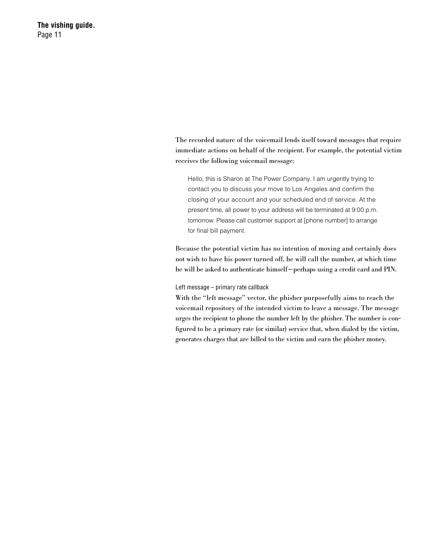> The recorded nature of the voicemail lends itself toward messages that require immediate actions on behalf of the recipient. For example, the potential victim receives the following voicemail message:

Hello, this is Sharon at The Power Company. I am urgently trying to contact you to discuss your move to Los Angeles and confirm the closing of your account and your scheduled end of service. At the present time, all power to your address will be terminated at 9:00 p.m. tomorrow. Please call customer support at [phone number] to arrange for final bill payment.

Because the potential victim has no intention of moving and certainly does not wish to have his power turned off, he will call the number, at which time he will be asked to authenticate himself—perhaps using a credit card and PIN.

## Left message – primary rate callback

With the "left message" vector, the phisher purposefully aims to reach the voicemail repository of the intended victim to leave a message. The message urges the recipient to phone the number left by the phisher. The number is configured to be a primary rate (or similar) service that, when dialed by the victim, generates charges that are billed to the victim and earn the phisher money.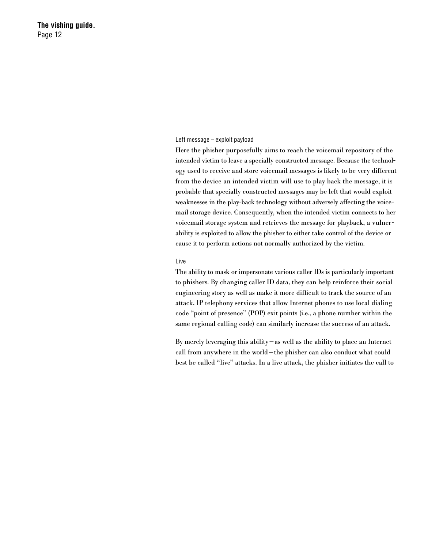## Left message – exploit payload

Here the phisher purposefully aims to reach the voicemail repository of the intended victim to leave a specially constructed message. Because the technology used to receive and store voicemail messages is likely to be very different from the device an intended victim will use to play back the message, it is probable that specially constructed messages may be left that would exploit weaknesses in the play-back technology without adversely affecting the voicemail storage device. Consequently, when the intended victim connects to her voicemail storage system and retrieves the message for playback, a vulnerability is exploited to allow the phisher to either take control of the device or cause it to perform actions not normally authorized by the victim.

### Live

The ability to mask or impersonate various caller IDs is particularly important to phishers. By changing caller ID data, they can help reinforce their social engineering story as well as make it more difficult to track the source of an attack. IP telephony services that allow Internet phones to use local dialing code "point of presence" (POP) exit points (i.e., a phone number within the same regional calling code) can similarly increase the success of an attack.

By merely leveraging this ability—as well as the ability to place an Internet call from anywhere in the world—the phisher can also conduct what could best be called "live" attacks. In a live attack, the phisher initiates the call to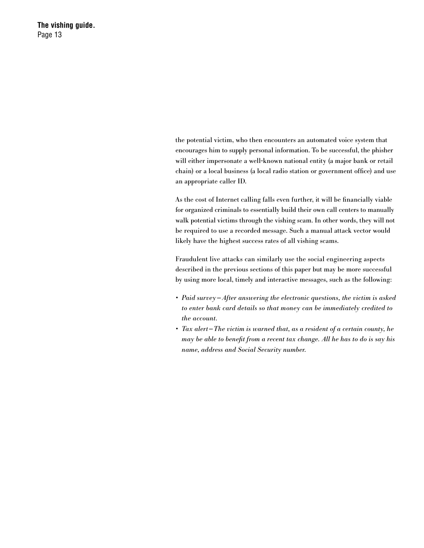> the potential victim, who then encounters an automated voice system that encourages him to supply personal information. To be successful, the phisher will either impersonate a well-known national entity (a major bank or retail chain) or a local business (a local radio station or government office) and use an appropriate caller ID.

> As the cost of Internet calling falls even further, it will be financially viable for organized criminals to essentially build their own call centers to manually walk potential victims through the vishing scam. In other words, they will not be required to use a recorded message. Such a manual attack vector would likely have the highest success rates of all vishing scams.

> Fraudulent live attacks can similarly use the social engineering aspects described in the previous sections of this paper but may be more successful by using more local, timely and interactive messages, such as the following:

- *• Paid survey —After answering the electronic questions, the victim is asked to enter bank card details so that money can be immediately credited to the account.*
- *• Tax alert —The victim is warned that, as a resident of a certain county, he may be able to benefit from a recent tax change. All he has to do is say his name, address and Social Security number.*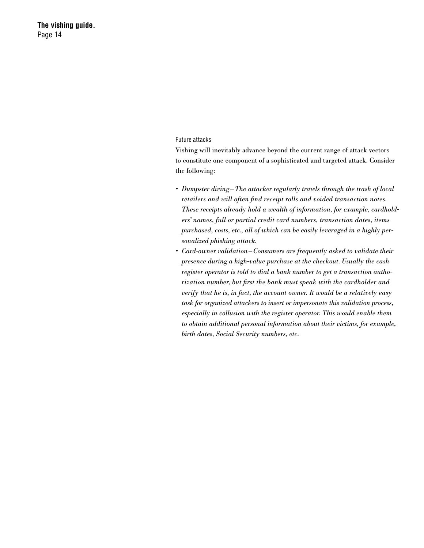#### Future attacks

Vishing will inevitably advance beyond the current range of attack vectors to constitute one component of a sophisticated and targeted attack. Consider the following:

- Dumpster diving The attacker regularly trawls through the trash of local *retailers and will often find receipt rolls and voided transaction notes.* These receipts already hold a wealth of information, for example, cardholders' names, full or partial credit card numbers, transaction dates, items purchased, costs, etc., all of which can be easily leveraged in a highly per*sonalized phishing attack.*
- Card-owner validation Consumers are frequently asked to validate their *presence during a high-value purchase at the checkout. Usually the cash register operator is told to dial a bank number to get a transaction autho*rization number, but first the bank must speak with the cardholder and *verify* that he is, in fact, the account owner. It would be a relatively easy task for organized attackers to insert or impersonate this validation process, *especially in collusion with the register operator. This would enable them* to obtain additional personal information about their victims, for example, *birth dates, Social Security numbers, etc.*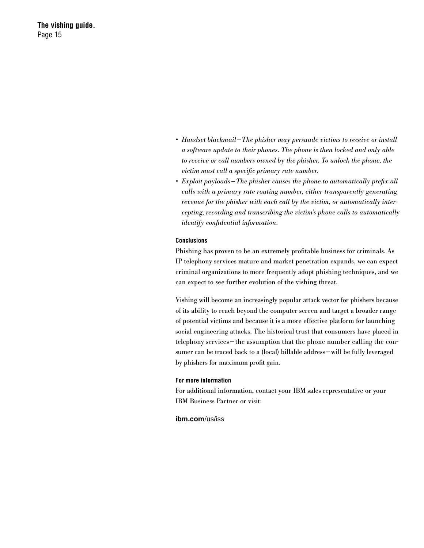- Handset blackmail The phisher may persuade victims to receive or install *a software update to their phones. The phone is then locked and only able to* receive or call numbers owned by the phisher. To unlock the phone, the *victim* must call a specific primary rate number.
- Exploit payloads The phisher causes the phone to automatically prefix all *calls* with a primary rate routing number, either transparently generating *revenue for the phisher with each call by the victim, or automatically intercepting, recording and transcribing the victim's phone calls to automatically identify confidential information.*

## **Conclusions**

Phishing has proven to be an extremely profitable business for criminals. As IP telephony services mature and market penetration expands, we can expect criminal organizations to more frequently adopt phishing techniques, and we can expect to see further evolution of the vishing threat.

Vishing will become an increasingly popular attack vector for phishers because of its ability to reach beyond the computer screen and target a broader range of potential victims and because it is a more effective platform for launching social engineering attacks. The historical trust that consumers have placed in telephony services—the assumption that the phone number calling the consumer can be traced back to a (local) billable address—will be fully leveraged by phishers for maximum profit gain.

## **For more information**

For additional information, contact your IBM sales representative or your IBM Business Partner or visit:

# **ibm.com**/us/iss